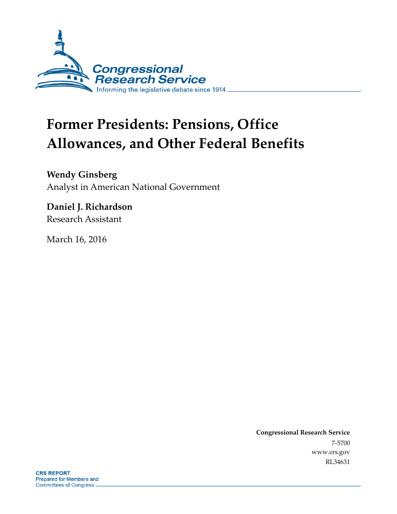

# **Former Presidents: Pensions, Office Allowances, and Other Federal Benefits**

**Wendy Ginsberg** Analyst in American National Government

**Daniel J. Richardson** Research Assistant

March 16, 2016

**Congressional Research Service** 7-5700 www.crs.gov RL34631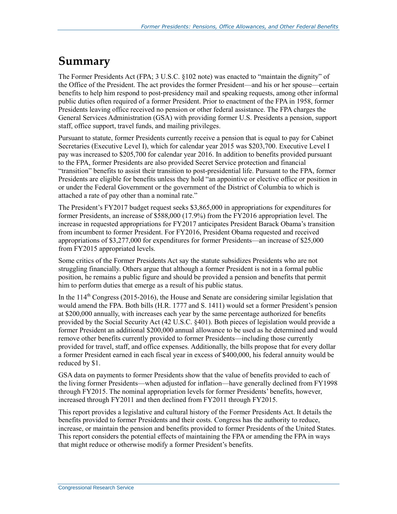## **Summary**

The Former Presidents Act (FPA; 3 U.S.C. §102 note) was enacted to "maintain the dignity" of the Office of the President. The act provides the former President—and his or her spouse—certain benefits to help him respond to post-presidency mail and speaking requests, among other informal public duties often required of a former President. Prior to enactment of the FPA in 1958, former Presidents leaving office received no pension or other federal assistance. The FPA charges the General Services Administration (GSA) with providing former U.S. Presidents a pension, support staff, office support, travel funds, and mailing privileges.

Pursuant to statute, former Presidents currently receive a pension that is equal to pay for Cabinet Secretaries (Executive Level I), which for calendar year 2015 was \$203,700. Executive Level I pay was increased to \$205,700 for calendar year 2016. In addition to benefits provided pursuant to the FPA, former Presidents are also provided Secret Service protection and financial "transition" benefits to assist their transition to post-presidential life. Pursuant to the FPA, former Presidents are eligible for benefits unless they hold "an appointive or elective office or position in or under the Federal Government or the government of the District of Columbia to which is attached a rate of pay other than a nominal rate."

The President's FY2017 budget request seeks \$3,865,000 in appropriations for expenditures for former Presidents, an increase of \$588,000 (17.9%) from the FY2016 appropriation level. The increase in requested appropriations for FY2017 anticipates President Barack Obama's transition from incumbent to former President. For FY2016, President Obama requested and received appropriations of \$3,277,000 for expenditures for former Presidents—an increase of \$25,000 from FY2015 appropriated levels.

Some critics of the Former Presidents Act say the statute subsidizes Presidents who are not struggling financially. Others argue that although a former President is not in a formal public position, he remains a public figure and should be provided a pension and benefits that permit him to perform duties that emerge as a result of his public status.

In the  $114<sup>th</sup>$  Congress (2015-2016), the House and Senate are considering similar legislation that would amend the FPA. Both bills (H.R. 1777 and S. 1411) would set a former President's pension at \$200,000 annually, with increases each year by the same percentage authorized for benefits provided by the Social Security Act (42 U.S.C. §401). Both pieces of legislation would provide a former President an additional \$200,000 annual allowance to be used as he determined and would remove other benefits currently provided to former Presidents—including those currently provided for travel, staff, and office expenses. Additionally, the bills propose that for every dollar a former President earned in each fiscal year in excess of \$400,000, his federal annuity would be reduced by \$1.

GSA data on payments to former Presidents show that the value of benefits provided to each of the living former Presidents—when adjusted for inflation—have generally declined from FY1998 through FY2015. The nominal appropriation levels for former Presidents' benefits, however, increased through FY2011 and then declined from FY2011 through FY2015.

This report provides a legislative and cultural history of the Former Presidents Act. It details the benefits provided to former Presidents and their costs. Congress has the authority to reduce, increase, or maintain the pension and benefits provided to former Presidents of the United States. This report considers the potential effects of maintaining the FPA or amending the FPA in ways that might reduce or otherwise modify a former President's benefits.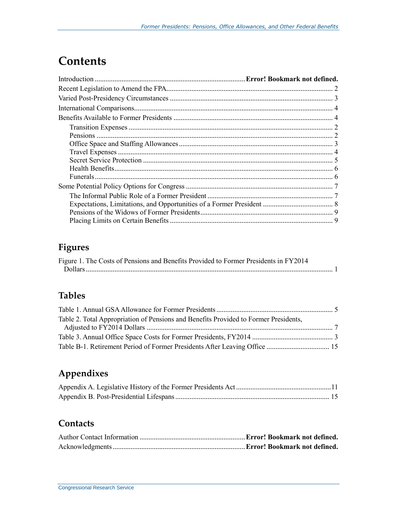## **Contents**

## **Figures**

| Figure 1. The Costs of Pensions and Benefits Provided to Former Presidents in FY2014 |  |
|--------------------------------------------------------------------------------------|--|
|                                                                                      |  |

### **Tables**

| Table 2. Total Appropriation of Pensions and Benefits Provided to Former Presidents, |  |
|--------------------------------------------------------------------------------------|--|
|                                                                                      |  |
|                                                                                      |  |
|                                                                                      |  |

## **Appendixes**

### **Contacts**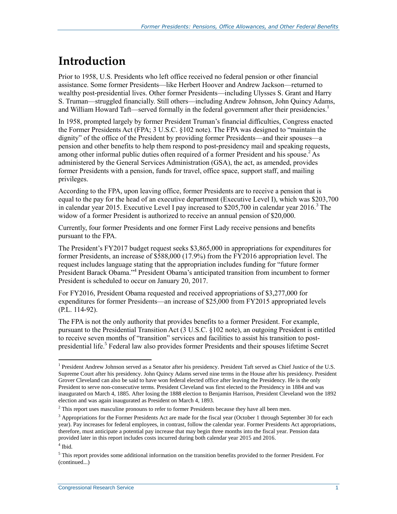## **Introduction**

Prior to 1958, U.S. Presidents who left office received no federal pension or other financial assistance. Some former Presidents—like Herbert Hoover and Andrew Jackson—returned to wealthy post-presidential lives. Other former Presidents—including Ulysses S. Grant and Harry S. Truman—struggled financially. Still others—including Andrew Johnson, John Quincy Adams, and William Howard Taft—served formally in the federal government after their presidencies.<sup>1</sup>

In 1958, prompted largely by former President Truman's financial difficulties, Congress enacted the Former Presidents Act (FPA; 3 U.S.C. §102 note). The FPA was designed to "maintain the dignity" of the office of the President by providing former Presidents—and their spouses—a pension and other benefits to help them respond to post-presidency mail and speaking requests, among other informal public duties often required of a former President and his spouse.<sup>2</sup> As administered by the General Services Administration (GSA), the act, as amended, provides former Presidents with a pension, funds for travel, office space, support staff, and mailing privileges.

According to the FPA, upon leaving office, former Presidents are to receive a pension that is equal to the pay for the head of an executive department (Executive Level I), which was \$203,700 in calendar year 2015. Executive Level I pay increased to  $$205,700$  in calendar year 2016.<sup>3</sup> The widow of a former President is authorized to receive an annual pension of \$20,000.

Currently, four former Presidents and one former First Lady receive pensions and benefits pursuant to the FPA.

The President's FY2017 budget request seeks \$3,865,000 in appropriations for expenditures for former Presidents, an increase of \$588,000 (17.9%) from the FY2016 appropriation level. The request includes language stating that the appropriation includes funding for "future former President Barack Obama."<sup>4</sup> President Obama's anticipated transition from incumbent to former President is scheduled to occur on January 20, 2017.

For FY2016, President Obama requested and received appropriations of \$3,277,000 for expenditures for former Presidents—an increase of \$25,000 from FY2015 appropriated levels (P.L. 114-92).

The FPA is not the only authority that provides benefits to a former President. For example, pursuant to the Presidential Transition Act (3 U.S.C. §102 note), an outgoing President is entitled to receive seven months of "transition" services and facilities to assist his transition to postpresidential life.<sup>5</sup> Federal law also provides former Presidents and their spouses lifetime Secret

<sup>&</sup>lt;sup>1</sup> President Andrew Johnson served as a Senator after his presidency. President Taft served as Chief Justice of the U.S. Supreme Court after his presidency. John Quincy Adams served nine terms in the House after his presidency. President Grover Cleveland can also be said to have won federal elected office after leaving the Presidency. He is the only President to serve non-consecutive terms. President Cleveland was first elected to the Presidency in 1884 and was inaugurated on March 4, 1885. After losing the 1888 election to Benjamin Harrison, President Cleveland won the 1892 election and was again inaugurated as President on March 4, 1893.

 $2$  This report uses masculine pronouns to refer to former Presidents because they have all been men.

 $3$  Appropriations for the Former Presidents Act are made for the fiscal year (October 1 through September 30 for each year). Pay increases for federal employees, in contrast, follow the calendar year. Former Presidents Act appropriations, therefore, must anticipate a potential pay increase that may begin three months into the fiscal year. Pension data provided later in this report includes costs incurred during both calendar year 2015 and 2016.

<sup>4</sup> Ibid.

<sup>&</sup>lt;sup>5</sup> This report provides some additional information on the transition benefits provided to the former President. For (continued...)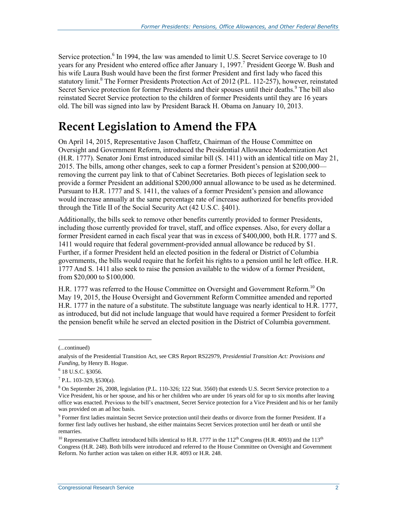Service protection.<sup>6</sup> In 1994, the law was amended to limit U.S. Secret Service coverage to 10 years for any President who entered office after January 1, 1997.<sup>7</sup> President George W. Bush and his wife Laura Bush would have been the first former President and first lady who faced this statutory limit.<sup>8</sup> The Former Presidents Protection Act of 2012 (P.L. 112-257), however, reinstated Secret Service protection for former Presidents and their spouses until their deaths.<sup>9</sup> The bill also reinstated Secret Service protection to the children of former Presidents until they are 16 years old. The bill was signed into law by President Barack H. Obama on January 10, 2013.

## **Recent Legislation to Amend the FPA**

On April 14, 2015, Representative Jason Chaffetz, Chairman of the House Committee on Oversight and Government Reform, introduced the Presidential Allowance Modernization Act (H.R. 1777). Senator Joni Ernst introduced similar bill (S. 1411) with an identical title on May 21, 2015. The bills, among other changes, seek to cap a former President's pension at \$200,000 removing the current pay link to that of Cabinet Secretaries. Both pieces of legislation seek to provide a former President an additional \$200,000 annual allowance to be used as he determined. Pursuant to H.R. 1777 and S. 1411, the values of a former President's pension and allowance would increase annually at the same percentage rate of increase authorized for benefits provided through the Title II of the Social Security Act (42 U.S.C. §401).

Additionally, the bills seek to remove other benefits currently provided to former Presidents, including those currently provided for travel, staff, and office expenses. Also, for every dollar a former President earned in each fiscal year that was in excess of \$400,000, both H.R. 1777 and S. 1411 would require that federal government-provided annual allowance be reduced by \$1. Further, if a former President held an elected position in the federal or District of Columbia governments, the bills would require that he forfeit his rights to a pension until he left office. H.R. 1777 And S. 1411 also seek to raise the pension available to the widow of a former President, from \$20,000 to \$100,000.

H.R. 1777 was referred to the House Committee on Oversight and Government Reform.<sup>10</sup> On May 19, 2015, the House Oversight and Government Reform Committee amended and reported H.R. 1777 in the nature of a substitute. The substitute language was nearly identical to H.R. 1777, as introduced, but did not include language that would have required a former President to forfeit the pension benefit while he served an elected position in the District of Columbia government.

<sup>(...</sup>continued)

analysis of the Presidential Transition Act, see CRS Report RS22979, *Presidential Transition Act: Provisions and Funding*, by Henry B. Hogue.

<sup>6</sup> 18 U.S.C. §3056.

 $7$  P.L. 103-329, §530(a).

<sup>8</sup> On September 26, 2008, legislation (P.L. 110-326; 122 Stat. 3560) that extends U.S. Secret Service protection to a Vice President, his or her spouse, and his or her children who are under 16 years old for up to six months after leaving office was enacted. Previous to the bill's enactment, Secret Service protection for a Vice President and his or her family was provided on an ad hoc basis.

<sup>&</sup>lt;sup>9</sup> Former first ladies maintain Secret Service protection until their deaths or divorce from the former President. If a former first lady outlives her husband, she either maintains Secret Services protection until her death or until she remarries.

<sup>&</sup>lt;sup>10</sup> Representative Chaffetz introduced bills identical to H.R. 1777 in the  $112^{th}$  Congress (H.R. 4093) and the  $113^{th}$ Congress (H.R. 248). Both bills were introduced and referred to the House Committee on Oversight and Government Reform. No further action was taken on either H.R. 4093 or H.R. 248.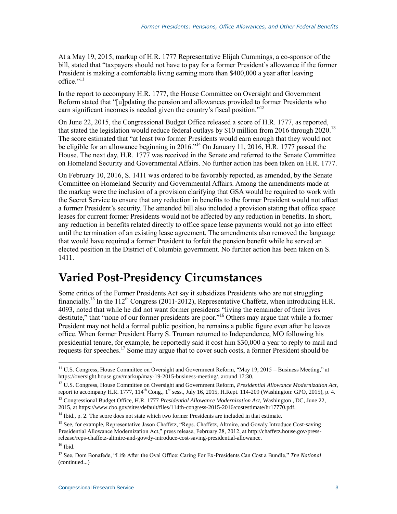At a May 19, 2015, markup of H.R. 1777 Representative Elijah Cummings, a co-sponsor of the bill, stated that "taxpayers should not have to pay for a former President's allowance if the former President is making a comfortable living earning more than \$400,000 a year after leaving office." $11$ 

In the report to accompany H.R. 1777, the House Committee on Oversight and Government Reform stated that "[u]pdating the pension and allowances provided to former Presidents who earn significant incomes is needed given the country's fiscal position."<sup>12</sup>

On June 22, 2015, the Congressional Budget Office released a score of H.R. 1777, as reported, that stated the legislation would reduce federal outlays by \$10 million from 2016 through 2020.<sup>13</sup> The score estimated that "at least two former Presidents would earn enough that they would not be eligible for an allowance beginning in 2016."<sup>14</sup> On January 11, 2016, H.R. 1777 passed the House. The next day, H.R. 1777 was received in the Senate and referred to the Senate Committee on Homeland Security and Governmental Affairs. No further action has been taken on H.R. 1777.

On February 10, 2016, S. 1411 was ordered to be favorably reported, as amended, by the Senate Committee on Homeland Security and Governmental Affairs. Among the amendments made at the markup were the inclusion of a provision clarifying that GSA would be required to work with the Secret Service to ensure that any reduction in benefits to the former President would not affect a former President's security. The amended bill also included a provision stating that office space leases for current former Presidents would not be affected by any reduction in benefits. In short, any reduction in benefits related directly to office space lease payments would not go into effect until the termination of an existing lease agreement. The amendments also removed the language that would have required a former President to forfeit the pension benefit while he served an elected position in the District of Columbia government. No further action has been taken on S. 1411.

## **Varied Post-Presidency Circumstances**

Some critics of the Former Presidents Act say it subsidizes Presidents who are not struggling financially.<sup>15</sup> In the 112<sup>th</sup> Congress (2011-2012), Representative Chaffetz, when introducing H.R. 4093, noted that while he did not want former presidents "living the remainder of their lives destitute," that "none of our former presidents are poor."<sup>16</sup> Others may argue that while a former President may not hold a formal public position, he remains a public figure even after he leaves office. When former President Harry S. Truman returned to Independence, MO following his presidential tenure, for example, he reportedly said it cost him \$30,000 a year to reply to mail and requests for speeches.<sup>17</sup> Some may argue that to cover such costs, a former President should be

<sup>13</sup> Congressional Budget Office, H.R. 1777 *Presidential Allowance Modernization Act*, Washington , DC, June 22, 2015, at https://www.cbo.gov/sites/default/files/114th-congress-2015-2016/costestimate/hr17770.pdf.

 $14$  Ibid., p. 2. The score does not state which two former Presidents are included in that estimate.

<sup>&</sup>lt;sup>11</sup> U.S. Congress, House Committee on Oversight and Government Reform, "May 19, 2015 – Business Meeting," at https://oversight.house.gov/markup/may-19-2015-business-meeting/, around 17:30.

<sup>12</sup> U.S. Congress, House Committee on Oversight and Government Reform, *Presidential Allowance Modernization Act*, report to accompany H.R. 1777,  $114<sup>th</sup> Cong.,  $1<sup>st</sup>$  sess., July 16, 2015, H.Rept. 114-209 (Washington: GPO, 2015), p. 4.$ 

<sup>&</sup>lt;sup>15</sup> See, for example, Representative Jason Chaffetz, "Reps. Chaffetz, Altmire, and Gowdy Introduce Cost-saving Presidential Allowance Modernization Act," press release, February 28, 2012, at http://chaffetz.house.gov/pressrelease/reps-chaffetz-altmire-and-gowdy-introduce-cost-saving-presidential-allowance.

 $^{16}$  Ibid.

<sup>17</sup> See, Dom Bonafede, "Life After the Oval Office: Caring For Ex-Presidents Can Cost a Bundle," *The National*  (continued...)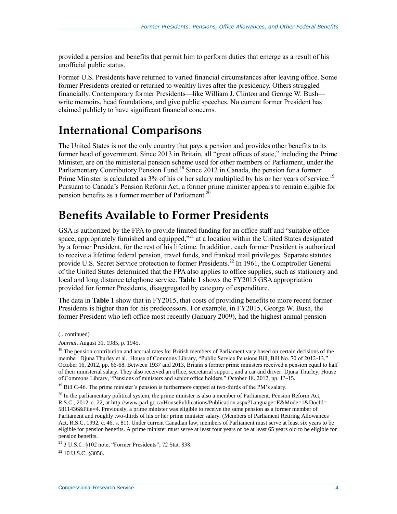provided a pension and benefits that permit him to perform duties that emerge as a result of his unofficial public status.

Former U.S. Presidents have returned to varied financial circumstances after leaving office. Some former Presidents created or returned to wealthy lives after the presidency. Others struggled financially. Contemporary former Presidents—like William J. Clinton and George W. Bush write memoirs, head foundations, and give public speeches. No current former President has claimed publicly to have significant financial concerns.

## **International Comparisons**

The United States is not the only country that pays a pension and provides other benefits to its former head of government. Since 2013 in Britain, all "great offices of state," including the Prime Minister, are on the ministerial pension scheme used for other members of Parliament, under the Parliamentary Contributory Pension Fund.<sup>18</sup> Since 2012 in Canada, the pension for a former Prime Minister is calculated as 3% of his or her salary multiplied by his or her years of service.<sup>19</sup> Pursuant to Canada's Pension Reform Act, a former prime minister appears to remain eligible for pension benefits as a former member of Parliament.<sup>20</sup>

## **Benefits Available to Former Presidents**

GSA is authorized by the FPA to provide limited funding for an office staff and "suitable office space, appropriately furnished and equipped,"<sup>21</sup> at a location within the United States designated by a former President, for the rest of his lifetime. In addition, each former President is authorized to receive a lifetime federal pension, travel funds, and franked mail privileges. Separate statutes provide U.S. Secret Service protection to former Presidents.<sup>22</sup> In 1961, the Comptroller General of the United States determined that the FPA also applies to office supplies, such as stationery and local and long distance telephone service. **[Table 1](#page-7-0)** shows the FY2015 GSA appropriation provided for former Presidents, disaggregated by category of expenditure.

The data in **[Table 1](#page-7-0)** show that in FY2015, that costs of providing benefits to more recent former Presidents is higher than for his predecessors. For example, in FY2015, George W. Bush, the former President who left office most recently (January 2009), had the highest annual pension

 $\overline{a}$ 

 $22$  10 U.S.C. 83056.

<sup>(...</sup>continued)

*Journal*, August 31, 1985, p. 1945.

<sup>&</sup>lt;sup>18</sup> The pension contribution and accrual rates for British members of Parliament vary based on certain decisions of the member. Djuna Thurley et al., House of Commons Library, "Public Service Pensions Bill, Bill No. 70 of 2012-13," October 16, 2012, pp. 66-68. Between 1937 and 2013, Britain's former prime ministers received a pension equal to half of their ministerial salary. They also received an office, secretarial support, and a car and driver. Djuna Thurley, House of Commons Library, "Pensions of ministers and senior office holders," October 18, 2012, pp. 13-15.

<sup>&</sup>lt;sup>19</sup> Bill C-46. The prime minister's pension is furthermore capped at two-thirds of the PM's salary.

 $^{20}$  In the parliamentary political system, the prime minister is also a member of Parliament. Pension Reform Act, R.S.C., 2012, c. 22, at http://www.parl.gc.ca/HousePublications/Publication.aspx?Language=E&Mode=1&DocId= 5811436&File=4. Previously, a prime minister was eligible to receive the same pension as a former member of Parliament and roughly two-thirds of his or her prime minister salary. (Members of Parliament Retiring Allowances Act, R.S.C. 1992, c. 46, s. 81). Under current Canadian law, members of Parliament must serve at least six years to be eligible for pension benefits. A prime minister must serve at least four years or be at least 65 years old to be eligible for pension benefits.

<sup>21</sup> 3 U.S.C. §102 note, "Former Presidents"; 72 Stat. 838.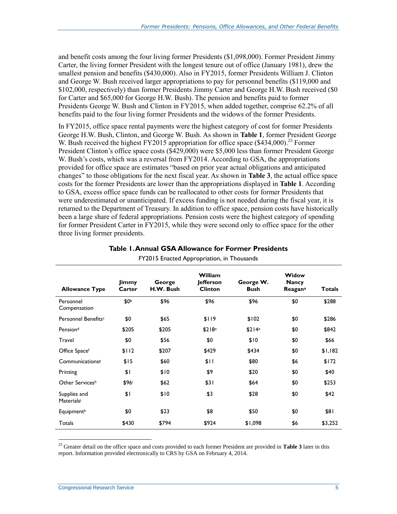and benefit costs among the four living former Presidents (\$1,098,000). Former President Jimmy Carter, the living former President with the longest tenure out of office (January 1981), drew the smallest pension and benefits (\$430,000). Also in FY2015, former Presidents William J. Clinton and George W. Bush received larger appropriations to pay for personnel benefits (\$119,000 and \$102,000, respectively) than former Presidents Jimmy Carter and George H.W. Bush received (\$0 for Carter and \$65,000 for George H.W. Bush). The pension and benefits paid to former Presidents George W. Bush and Clinton in FY2015, when added together, comprise 62.2% of all benefits paid to the four living former Presidents and the widows of the former Presidents.

In FY2015, office space rental payments were the highest category of cost for former Presidents George H.W. Bush, Clinton, and George W. Bush. As shown in **[Table 1](#page-7-0)**, former President George W. Bush received the highest FY2015 appropriation for office space  $(\$434,000)^{23}$  Former President Clinton's office space costs (\$429,000) were \$5,000 less than former President George W. Bush's costs, which was a reversal from FY2014. According to GSA, the appropriations provided for office space are estimates "based on prior year actual obligations and anticipated changes" to those obligations for the next fiscal year. As shown in **[Table 3](#page-13-0)**, the actual office space costs for the former Presidents are lower than the appropriations displayed in **[Table 1](#page-7-0)**. According to GSA, excess office space funds can be reallocated to other costs for former Presidents that were underestimated or unanticipated. If excess funding is not needed during the fiscal year, it is returned to the Department of Treasury. In addition to office space, pension costs have historically been a large share of federal appropriations. Pension costs were the highest category of spending for former President Carter in FY2015, while they were second only to office space for the other three living former presidents.

<span id="page-7-0"></span>

| <b>Allowance Type</b>           | Jimmy<br>Carter | George<br>H.W. Bush | William<br><b>Jefferson</b><br><b>Clinton</b> | George W.<br><b>Bush</b> | Widow<br><b>Nancy</b><br><b>Reagan</b> <sup>a</sup> | <b>Totals</b> |
|---------------------------------|-----------------|---------------------|-----------------------------------------------|--------------------------|-----------------------------------------------------|---------------|
| Personnel<br>Compensation       | \$0Ь            | \$96                | \$96                                          | \$96                     | \$0                                                 | \$288         |
| Personnel Benefits <sup>c</sup> | \$0             | \$65                | \$119                                         | \$102                    | \$0                                                 | \$286         |
| Pension <sup>d</sup>            | \$205           | \$205               | \$218 <sup>e</sup>                            | \$214 <sup>e</sup>       | \$0                                                 | \$842         |
| Travel                          | \$0             | \$56                | \$0                                           | \$10                     | \$0                                                 | \$66          |
| Office Spacef                   | \$112           | \$207               | \$429                                         | \$434                    | \$0                                                 | \$1,182       |
| Communications <sup>g</sup>     | \$15            | \$60                | \$11                                          | \$80                     | \$6                                                 | \$172         |
| Printing                        | \$1             | \$10                | \$9                                           | \$20                     | \$0                                                 | \$40          |
| Other Servicesh                 | \$96i           | \$62                | \$31                                          | \$64                     | \$0                                                 | \$253         |
| Supplies and<br>Materialsi      | \$1             | \$10                | \$3                                           | \$28                     | \$0                                                 | \$42          |
| Equipment <sup>k</sup>          | \$0             | \$23                | \$8                                           | \$50                     | \$0                                                 | \$81          |
| Totals                          | \$430           | \$794               | \$924                                         | \$1,098                  | \$6                                                 | \$3,252       |

#### **Table 1. Annual GSA Allowance for Former Presidents**

FY2015 Enacted Appropriation, in Thousands

<sup>23</sup> Greater detail on the office space and costs provided to each former President are provided in **[Table 3](#page-13-0)** later in this report. Information provided electronically to CRS by GSA on February 4, 2014.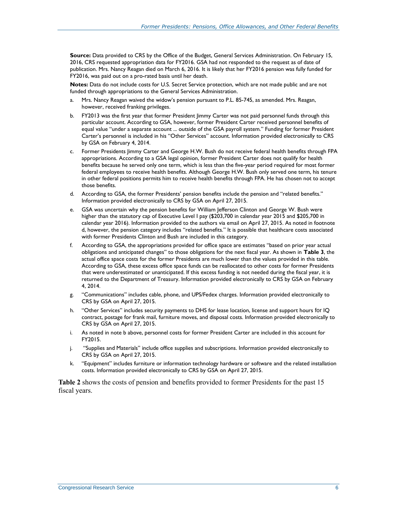**Source:** Data provided to CRS by the Office of the Budget, General Services Administration. On February 15, 2016, CRS requested appropriation data for FY2016. GSA had not responded to the request as of date of publication. Mrs. Nancy Reagan died on March 6, 2016. It is likely that her FY2016 pension was fully funded for FY2016, was paid out on a pro-rated basis until her death.

**Notes:** Data do not include costs for U.S. Secret Service protection, which are not made public and are not funded through appropriations to the General Services Administration.

- <span id="page-8-0"></span>a. Mrs. Nancy Reagan waived the widow's pension pursuant to P.L. 85-745, as amended. Mrs. Reagan, however, received franking privileges.
- <span id="page-8-1"></span>b. FY2013 was the first year that former President Jimmy Carter was not paid personnel funds through this particular account. According to GSA, however, former President Carter received personnel benefits of equal value "under a separate account ... outside of the GSA payroll system." Funding for former President Carter's personnel is included in his "Other Services" account. Information provided electronically to CRS by GSA on February 4, 2014.
- <span id="page-8-2"></span>c. Former Presidents Jimmy Carter and George H.W. Bush do not receive federal health benefits through FPA appropriations. According to a GSA legal opinion, former President Carter does not qualify for health benefits because he served only one term, which is less than the five-year period required for most former federal employees to receive health benefits. Although George H.W. Bush only served one term, his tenure in other federal positions permits him to receive health benefits through FPA. He has chosen not to accept those benefits.
- <span id="page-8-3"></span>d. According to GSA, the former Presidents' pension benefits include the pension and "related benefits." Information provided electronically to CRS by GSA on April 27, 2015.
- <span id="page-8-4"></span>e. GSA was uncertain why the pension benefits for William Jefferson Clinton and George W. Bush were higher than the statutory cap of Executive Level I pay (\$203,700 in calendar year 2015 and \$205,700 in calendar year 2016). Information provided to the authors via email on April 27, 2015. As noted in footnote d, however, the pension category includes "related benefits." It is possible that healthcare costs associated with former Presidents Clinton and Bush are included in this category.
- <span id="page-8-5"></span>f. According to GSA, the appropriations provided for office space are estimates "based on prior year actual obligations and anticipated changes" to those obligations for the next fiscal year. As shown in **[Table 3](#page-13-0)**, the actual office space costs for the former Presidents are much lower than the values provided in this table. According to GSA, these excess office space funds can be reallocated to other costs for former Presidents that were underestimated or unanticipated. If this excess funding is not needed during the fiscal year, it is returned to the Department of Treasury. Information provided electronically to CRS by GSA on February 4, 2014.
- <span id="page-8-6"></span>g. "Communications" includes cable, phone, and UPS/Fedex charges. Information provided electronically to CRS by GSA on April 27, 2015.
- <span id="page-8-7"></span>h. "Other Services" includes security payments to DHS for lease location, license and support hours for IQ contract, postage for frank mail, furniture moves, and disposal costs. Information provided electronically to CRS by GSA on April 27, 2015.
- <span id="page-8-8"></span>i. As noted in note b above, personnel costs for former President Carter are included in this account for FY2015.
- <span id="page-8-9"></span>j. "Supplies and Materials" include office supplies and subscriptions. Information provided electronically to CRS by GSA on April 27, 2015.
- <span id="page-8-10"></span>k. "Equipment" includes furniture or information technology hardware or software and the related installation costs. Information provided electronically to CRS by GSA on April 27, 2015.

**[Table 2](#page-9-0)** shows the costs of pension and benefits provided to former Presidents for the past 15 fiscal years.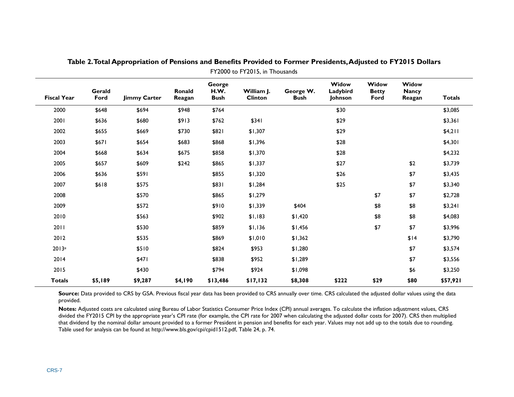<span id="page-9-0"></span>

| <b>Fiscal Year</b> | Gerald<br>Ford | <b>Jimmy Carter</b> | <b>Ronald</b><br>Reagan | George<br>H.W.<br><b>Bush</b> | William J.<br><b>Clinton</b> | George W.<br><b>Bush</b> | Widow<br>Ladybird<br>Johnson | Widow<br><b>Betty</b><br>Ford | Widow<br><b>Nancy</b><br>Reagan | <b>Totals</b> |
|--------------------|----------------|---------------------|-------------------------|-------------------------------|------------------------------|--------------------------|------------------------------|-------------------------------|---------------------------------|---------------|
| 2000               | \$648          | \$694               | \$948                   | \$764                         |                              |                          | \$30                         |                               |                                 | \$3,085       |
| 2001               | \$636          | \$680               | \$913                   | \$762                         | \$341                        |                          | \$29                         |                               |                                 | \$3,361       |
| 2002               | \$655          | \$669               | \$730                   | \$821                         | \$1,307                      |                          | \$29                         |                               |                                 | \$4,211       |
| 2003               | \$671          | \$654               | \$683                   | \$868                         | \$1,396                      |                          | \$28                         |                               |                                 | \$4,301       |
| 2004               | \$668          | \$634               | \$675                   | \$858                         | \$1,370                      |                          | \$28                         |                               |                                 | \$4,232       |
| 2005               | \$657          | \$609               | \$242                   | \$865                         | \$1,337                      |                          | \$27                         |                               | \$2                             | \$3,739       |
| 2006               | \$636          | \$591               |                         | \$855                         | \$1,320                      |                          | \$26                         |                               | \$7                             | \$3,435       |
| 2007               | \$618          | \$575               |                         | \$831                         | \$1,284                      |                          | \$25                         |                               | \$7                             | \$3,340       |
| 2008               |                | \$570               |                         | \$865                         | \$1,279                      |                          |                              | \$7                           | \$7                             | \$2,728       |
| 2009               |                | \$572               |                         | \$910                         | \$1,339                      | \$404                    |                              | \$8                           | \$8                             | \$3,241       |
| 2010               |                | \$563               |                         | \$902                         | \$1,183                      | \$1,420                  |                              | \$8                           | \$8                             | \$4,083       |
| 2011               |                | \$530               |                         | \$859                         | \$1,136                      | \$1,456                  |                              | \$7                           | \$7                             | \$3,996       |
| 2012               |                | \$535               |                         | \$869                         | \$1,010                      | \$1,362                  |                              |                               | \$14                            | \$3,790       |
| 2013e              |                | \$510               |                         | \$824                         | \$953                        | \$1,280                  |                              |                               | \$7                             | \$3,574       |
| 2014               |                | \$471               |                         | \$838                         | \$952                        | \$1,289                  |                              |                               | \$7                             | \$3,556       |
| 2015               |                | \$430               |                         | \$794                         | \$924                        | \$1,098                  |                              |                               | \$6                             | \$3,250       |
| <b>Totals</b>      | <b>\$5,189</b> | \$9,287             | \$4,190                 | \$13,486                      | \$17,132                     | \$8,308                  | \$222                        | \$29                          | \$80                            | \$57,921      |

**Table 2. Total Appropriation of Pensions and Benefits Provided to Former Presidents, Adjusted to FY2015 Dollars** FY2000 to FY2015, in Thousands

Source: Data provided to CRS by GSA. Previous fiscal year data has been provided to CRS annually over time. CRS calculated the adjusted dollar values using the data provided.

**Notes:** Adjusted costs are calculated using Bureau of Labor Statistics Consumer Price Index (CPI) annual averages. To calculate the inflation adjustment values, CRS divided the FY2015 CPI by the appropriate year's CPI rate (for example, the CPI rate for 2007 when calculating the adjusted dollar costs for 2007). CRS then multiplied that dividend by the nominal dollar amount provided to a former President in pension and benefits for each year. Values may not add up to the totals due to rounding. Table used for analysis can be found at http://www.bls.gov/cpi/cpid1512.pdf, Table 24, p. 74.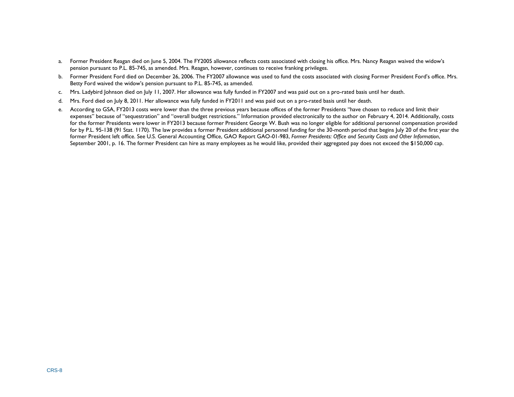- a. Former President Reagan died on June 5, 2004. The FY2005 allowance reflects costs associated with closing his office. Mrs. Nancy Reagan waived the widow's pension pursuant to P.L. 85-745, as amended. Mrs. Reagan, however, continues to receive franking privileges.
- b. Former President Ford died on December 26, 2006. The FY2007 allowance was used to fund the costs associated with closing Former President Ford's office. Mrs. Betty Ford waived the widow's pension pursuant to P.L. 85-745, as amended.
- c. Mrs. Ladybird Johnson died on July 11, 2007. Her allowance was fully funded in FY2007 and was paid out on a pro-rated basis until her death.
- d. Mrs. Ford died on July 8, 2011. Her allowance was fully funded in FY2011 and was paid out on a pro-rated basis until her death.
- e. According to GSA, FY2013 costs were lower than the three previous years because offices of the former Presidents "have chosen to reduce and limit their expenses" because of "sequestration" and "overall budget restrictions." Information provided electronically to the author on February 4, 2014. Additionally, costs for the former Presidents were lower in FY2013 because former President George W. Bush was no longer eligible for additional personnel compensation provided for by P.L. 95-138 (91 Stat. 1170). The law provides a former President additional personnel funding for the 30-month period that begins July 20 of the first year the former President left office. See U.S. General Accounting Office, GAO Report GAO-01-983, *Former Presidents: Office and Security Costs and Other Information*, September 2001, p. 16. The former President can hire as many employees as he would like, provided their aggregated pay does not exceed the \$150,000 cap.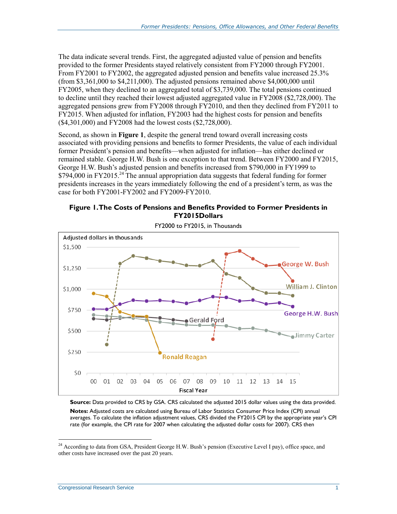The data indicate several trends. First, the aggregated adjusted value of pension and benefits provided to the former Presidents stayed relatively consistent from FY2000 through FY2001. From FY2001 to FY2002, the aggregated adjusted pension and benefits value increased 25.3% (from \$3,361,000 to \$4,211,000). The adjusted pensions remained above \$4,000,000 until FY2005, when they declined to an aggregated total of \$3,739,000. The total pensions continued to decline until they reached their lowest adjusted aggregated value in FY2008 (\$2,728,000). The aggregated pensions grew from FY2008 through FY2010, and then they declined from FY2011 to FY2015. When adjusted for inflation, FY2003 had the highest costs for pension and benefits (\$4,301,000) and FY2008 had the lowest costs (\$2,728,000).

Second, as shown in **[Figure 1](#page-11-0)**, despite the general trend toward overall increasing costs associated with providing pensions and benefits to former Presidents, the value of each individual former President's pension and benefits—when adjusted for inflation—has either declined or remained stable. George H.W. Bush is one exception to that trend. Between FY2000 and FY2015, George H.W. Bush's adjusted pension and benefits increased from \$790,000 in FY1999 to  $$794,000$  in FY2015.<sup>24</sup> The annual appropriation data suggests that federal funding for former presidents increases in the years immediately following the end of a president's term, as was the case for both FY2001-FY2002 and FY2009-FY2010.

#### <span id="page-11-0"></span>**Figure 1. The Costs of Pensions and Benefits Provided to Former Presidents in FY2015Dollars**



FY2000 to FY2015, in Thousands

**Source:** Data provided to CRS by GSA. CRS calculated the adjusted 2015 dollar values using the data provided. **Notes:** Adjusted costs are calculated using Bureau of Labor Statistics Consumer Price Index (CPI) annual averages. To calculate the inflation adjustment values, CRS divided the FY2015 CPI by the appropriate year's CPI rate (for example, the CPI rate for 2007 when calculating the adjusted dollar costs for 2007). CRS then

 $^{24}$  According to data from GSA, President George H.W. Bush's pension (Executive Level I pay), office space, and other costs have increased over the past 20 years.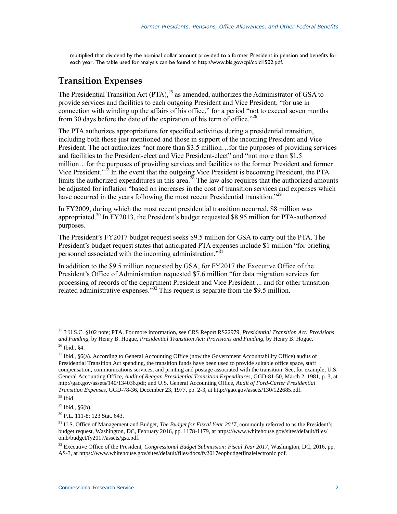multiplied that dividend by the nominal dollar amount provided to a former President in pension and benefits for each year. The table used for analysis can be found at http://www.bls.gov/cpi/cpid1502.pdf.

#### **Transition Expenses**

The Presidential Transition Act  $(PTA)$ ,<sup>25</sup> as amended, authorizes the Administrator of GSA to provide services and facilities to each outgoing President and Vice President, "for use in connection with winding up the affairs of his office," for a period "not to exceed seven months from 30 days before the date of the expiration of his term of office.<sup> $26$ </sup>

The PTA authorizes appropriations for specified activities during a presidential transition, including both those just mentioned and those in support of the incoming President and Vice President. The act authorizes "not more than \$3.5 million…for the purposes of providing services and facilities to the President-elect and Vice President-elect" and "not more than \$1.5 million…for the purposes of providing services and facilities to the former President and former Vice President."<sup>27</sup> In the event that the outgoing Vice President is becoming President, the PTA limits the authorized expenditures in this area.<sup>28</sup> The law also requires that the authorized amounts be adjusted for inflation "based on increases in the cost of transition services and expenses which have occurred in the years following the most recent Presidential transition."<sup>29</sup>

In FY2009, during which the most recent presidential transition occurred, \$8 million was appropriated.<sup>30</sup> In FY2013, the President's budget requested \$8.95 million for PTA-authorized purposes.

The President's FY2017 budget request seeks \$9.5 million for GSA to carry out the PTA. The President's budget request states that anticipated PTA expenses include \$1 million "for briefing personnel associated with the incoming administration."<sup>31</sup>

In addition to the \$9.5 million requested by GSA, for FY2017 the Executive Office of the President's Office of Administration requested \$7.6 million "for data migration services for processing of records of the department President and Vice President ... and for other transitionrelated administrative expenses."<sup>32</sup> This request is separate from the \$9.5 million.

<sup>25</sup> 3 U.S.C. §102 note; PTA. For more information, see CRS Report RS22979, *Presidential Transition Act: Provisions and Funding*, by Henry B. Hogue, *Presidential Transition Act: Provisions and Funding*, by Henry B. Hogue.

<sup>26</sup> Ibid., §4.

 $27$  Ibid., §6(a). According to General Accounting Office (now the Government Accountability Office) audits of Presidential Transition Act spending, the transition funds have been used to provide suitable office space, staff compensation, communications services, and printing and postage associated with the transition. See, for example, U.S. General Accounting Office, *Audit of Reagan Presidential Transition Expenditures*, GGD-81-50, March 2, 1981, p. 3, at http://gao.gov/assets/140/134036.pdf; and U.S. General Accounting Office, *Audit of Ford-Carter Presidential Transition Expenses*, GGD-78-36, December 23, 1977, pp. 2-3, at http://gao.gov/assets/130/122685.pdf.

 $28$  Ibid.

 $29$  Ibid.,  $§6(b)$ .

<sup>30</sup> P.L. 111-8; 123 Stat. 643.

<sup>&</sup>lt;sup>31</sup> U.S. Office of Management and Budget, *The Budget for Fiscal Year 2017*, commonly referred to as the President's budget request, Washington, DC, February 2016, pp. 1178-1179, at https://www.whitehouse.gov/sites/default/files/ omb/budget/fy2017/assets/gsa.pdf.

<sup>&</sup>lt;sup>32</sup> Executive Office of the President, *Congressional Budget Submission: Fiscal Year 2017*, Washington, DC, 2016, pp. AS-3, at https://www.whitehouse.gov/sites/default/files/docs/fy2017eopbudgetfinalelectronic.pdf.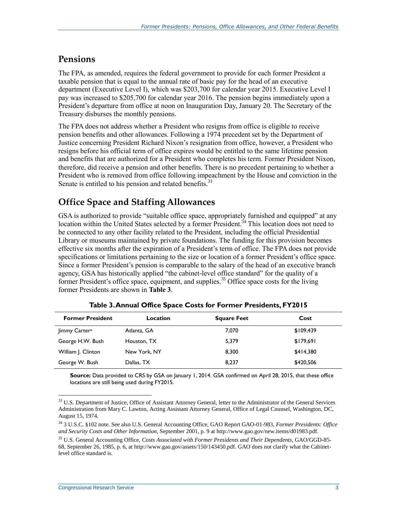#### **Pensions**

The FPA, as amended, requires the federal government to provide for each former President a taxable pension that is equal to the annual rate of basic pay for the head of an executive department (Executive Level I), which was \$203,700 for calendar year 2015. Executive Level I pay was increased to \$205,700 for calendar year 2016. The pension begins immediately upon a President's departure from office at noon on Inauguration Day, January 20. The Secretary of the Treasury disburses the monthly pensions.

The FPA does not address whether a President who resigns from office is eligible to receive pension benefits and other allowances. Following a 1974 precedent set by the Department of Justice concerning President Richard Nixon's resignation from office, however, a President who resigns before his official term of office expires would be entitled to the same lifetime pension and benefits that are authorized for a President who completes his term. Former President Nixon, therefore, did receive a pension and other benefits. There is no precedent pertaining to whether a President who is removed from office following impeachment by the House and conviction in the Senate is entitled to his pension and related benefits.<sup>33</sup>

### **Office Space and Staffing Allowances**

GSA is authorized to provide "suitable office space, appropriately furnished and equipped" at any location within the United States selected by a former President.<sup>34</sup> This location does not need to be connected to any other facility related to the President, including the official Presidential Library or museums maintained by private foundations. The funding for this provision becomes effective six months after the expiration of a President's term of office. The FPA does not provide specifications or limitations pertaining to the size or location of a former President's office space. Since a former President's pension is comparable to the salary of the head of an executive branch agency, GSA has historically applied "the cabinet-level office standard" for the quality of a former President's office space, equipment, and supplies.<sup>35</sup> Office space costs for the living former Presidents are shown in **[Table 3](#page-13-0)**.

<span id="page-13-0"></span>

| <b>Former President</b>   | Location     | <b>Square Feet</b> | Cost      |  |
|---------------------------|--------------|--------------------|-----------|--|
| Jimmy Carter <sup>a</sup> | Atlanta, GA  | 7,070              | \$109,439 |  |
| George H.W. Bush          | Houston, TX  | 5.379              | \$179,691 |  |
| William J. Clinton        | New York, NY | 8,300              | \$414,380 |  |
| George W. Bush            | Dallas, TX   | 8.237              | \$420,506 |  |

**Table 3. Annual Office Space Costs for Former Presidents, FY2015**

**Source:** Data provided to CRS by GSA on January 1, 2014. GSA confirmed on April 28, 2015, that these office locations are still being used during FY2015.

<sup>&</sup>lt;sup>33</sup> U.S. Department of Justice, Office of Assistant Attorney General, letter to the Administrator of the General Services Administration from Mary C. Lawton, Acting Assistant Attorney General, Office of Legal Counsel, Washington, DC, August 15, 1974.

<sup>34</sup> 3 U.S.C. §102 note. See also U.S. General Accounting Office, GAO Report GAO-01-983, *Former Presidents: Office and Security Costs and Other Information*, September 2001, p. 9 at http://www.gao.gov/new.items/d01983.pdf.

<sup>35</sup> U.S. General Accounting Office, *Costs Associated with Former Presidents and Their Dependents*, GAO/GGD-85- 68, September 26, 1985, p. 6, at http://www.gao.gov/assets/150/143450.pdf. GAO does not clarify what the Cabinetlevel office standard is.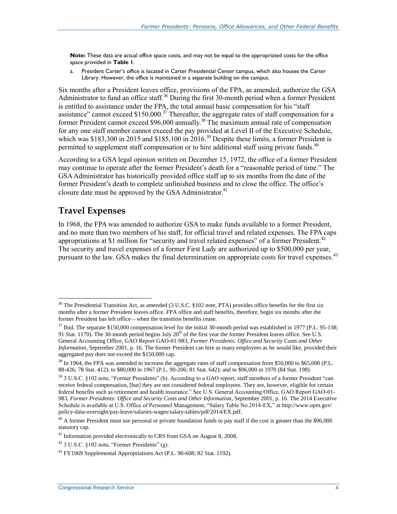**Note:** These data are actual office space costs, and may not be equal to the appropriated costs for the office space provided in **[Table 1](#page-7-0)**.

<span id="page-14-0"></span>a. President Carter's office is located in Carter Presidential Center campus, which also houses the Carter Library. However, the office is maintained in a separate building on the campus.

Six months after a President leaves office, provisions of the FPA, as amended, authorize the GSA Administrator to fund an office staff.<sup>36</sup> During the first 30-month period when a former President is entitled to assistance under the FPA, the total annual basic compensation for his "staff assistance" cannot exceed  $$150,000$ .<sup>37</sup> Thereafter, the aggregate rates of staff compensation for a former President cannot exceed \$96,000 annually.<sup>38</sup> The maximum annual rate of compensation for any one staff member cannot exceed the pay provided at Level II of the Executive Schedule, which was \$183,300 in 2015 and \$185,100 in  $2016$ .<sup>39</sup> Despite these limits, a former President is permitted to supplement staff compensation or to hire additional staff using private funds.<sup>40</sup>

According to a GSA legal opinion written on December 15, 1972, the office of a former President may continue to operate after the former President's death for a "reasonable period of time." The GSA Administrator has historically provided office staff up to six months from the date of the former President's death to complete unfinished business and to close the office. The office's closure date must be approved by the GSA Administrator.<sup>41</sup>

#### **Travel Expenses**

 $\overline{a}$ 

In 1968, the FPA was amended to authorize GSA to make funds available to a former President, and no more than two members of his staff, for official travel and related expenses. The FPA caps appropriations at \$1 million for "security and travel related expenses" of a former President.<sup>42</sup> The security and travel expenses of a former First Lady are authorized up to \$500,000 per year, pursuant to the law. GSA makes the final determination on appropriate costs for travel expenses.<sup>43</sup>

<sup>&</sup>lt;sup>36</sup> The Presidential Transition Act, as amended (3 U.S.C. §102 note, PTA) provides office benefits for the first six months after a former President leaves office. FPA office and staff benefits, therefore, begin six months after the former President has left office—when the transition benefits cease.

<sup>&</sup>lt;sup>37</sup> Ibid. The separate \$150,000 compensation level for the initial 30-month period was established in 1977 (P.L. 95-138; 91 Stat. 1170). The 30-month period begins July  $20<sup>th</sup>$  of the first year the former President leaves office. See U.S. General Accounting Office, GAO Report GAO-01-983, *Former Presidents: Office and Security Costs and Other Information*, September 2001, p. 16. The former President can hire as many employees as he would like, provided their aggregated pay does not exceed the \$150,000 cap.

<sup>&</sup>lt;sup>38</sup> In 1964, the FPA was amended to increase the aggregate rates of staff compensation from \$50,000 to \$65,000 (P.L. 88-426; 78 Stat. 412); to \$80,000 in 1967 (P.L. 90-206; 81 Stat. 642); and to \$96,000 in 1970 (84 Stat. 198).

<sup>&</sup>lt;sup>39</sup> 3 U.S.C. §102 note, "Former Presidents" (b). According to a GAO report, staff members of a former President "can receive federal compensation, [but] they are not considered federal employees. They are, however, eligible for certain federal benefits such as retirement and health insurance." See U.S. General Accounting Office, GAO Report GAO-01- 983, *Former Presidents: Office and Security Costs and Other Information*, September 2001, p. 16. The 2014 Executive Schedule is available at U.S. Office of Personnel Management, "Salary Table No.2014-EX," at http://www.opm.gov/ policy-data-oversight/pay-leave/salaries-wages/salary-tables/pdf/2014/EX.pdf.

 $^{40}$  A former President must use personal or private foundation funds to pay staff if the cost is greater than the \$96,000 statutory cap.

<sup>&</sup>lt;sup>41</sup> Information provided electronically to CRS from GSA on August 8, 2008.

<sup>42</sup> 3 U.S.C. §102 note, "Former Presidents" (g).

 $43$  FY1969 Supplemental Appropriations Act (P.L. 90-608; 82 Stat. 1192).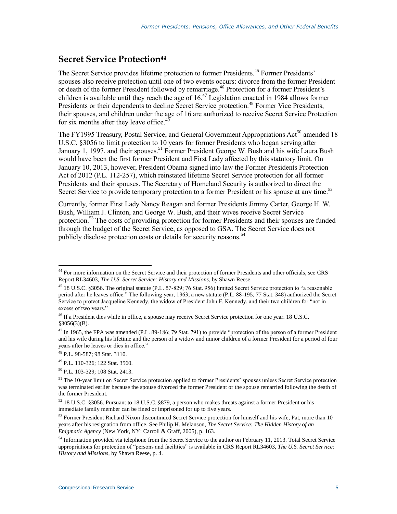#### **Secret Service Protection<sup>44</sup>**

The Secret Service provides lifetime protection to former Presidents.<sup>45</sup> Former Presidents' spouses also receive protection until one of two events occurs: divorce from the former President or death of the former President followed by remarriage.<sup>46</sup> Protection for a former President's children is available until they reach the age of  $16<sup>47</sup>$  Legislation enacted in 1984 allows former Presidents or their dependents to decline Secret Service protection.<sup>48</sup> Former Vice Presidents, their spouses, and children under the age of 16 are authorized to receive Secret Service Protection for six months after they leave office.<sup>49</sup>

The FY1995 Treasury, Postal Service, and General Government Appropriations Act<sup>50</sup> amended 18 U.S.C. §3056 to limit protection to 10 years for former Presidents who began serving after January 1, 1997, and their spouses.<sup>51</sup> Former President George W. Bush and his wife Laura Bush would have been the first former President and First Lady affected by this statutory limit. On January 10, 2013, however, President Obama signed into law the Former Presidents Protection Act of 2012 (P.L. 112-257), which reinstated lifetime Secret Service protection for all former Presidents and their spouses. The Secretary of Homeland Security is authorized to direct the Secret Service to provide temporary protection to a former President or his spouse at any time.<sup>52</sup>

Currently, former First Lady Nancy Reagan and former Presidents Jimmy Carter, George H. W. Bush, William J. Clinton, and George W. Bush, and their wives receive Secret Service protection.<sup>53</sup> The costs of providing protection for former Presidents and their spouses are funded through the budget of the Secret Service, as opposed to GSA. The Secret Service does not publicly disclose protection costs or details for security reasons.<sup>54</sup>

<sup>48</sup> P.L. 98-587; 98 Stat. 3110.

<sup>&</sup>lt;sup>44</sup> For more information on the Secret Service and their protection of former Presidents and other officials, see CRS Report RL34603, *The U.S. Secret Service: History and Missions*, by Shawn Reese.

<sup>45</sup> 18 U.S.C. §3056. The original statute (P.L. 87-829; 76 Stat. 956) limited Secret Service protection to "a reasonable period after he leaves office." The following year, 1963, a new statute (P.L. 88-195; 77 Stat. 348) authorized the Secret Service to protect Jacqueline Kennedy, the widow of President John F. Kennedy, and their two children for "not in excess of two years."

<sup>&</sup>lt;sup>46</sup> If a President dies while in office, a spouse may receive Secret Service protection for one year. 18 U.S.C.  $§3056(3)(B).$ 

<sup>&</sup>lt;sup>47</sup> In 1965, the FPA was amended (P.L. 89-186; 79 Stat. 791) to provide "protection of the person of a former President and his wife during his lifetime and the person of a widow and minor children of a former President for a period of four years after he leaves or dies in office."

<sup>49</sup> P.L. 110-326; 122 Stat. 3560.

<sup>50</sup> P.L. 103-329; 108 Stat. 2413.

<sup>&</sup>lt;sup>51</sup> The 10-year limit on Secret Service protection applied to former Presidents' spouses unless Secret Service protection was terminated earlier because the spouse divorced the former President or the spouse remarried following the death of the former President.

<sup>52</sup> 18 U.S.C. §3056. Pursuant to 18 U.S.C. §879, a person who makes threats against a former President or his immediate family member can be fined or imprisoned for up to five years.

 $53$  Former President Richard Nixon discontinued Secret Service protection for himself and his wife, Pat, more than 10 years after his resignation from office. See Philip H. Melanson, *The Secret Service: The Hidden History of an Enigmatic Agency* (New York, NY: Carroll & Graff, 2005), p. 163.

<sup>&</sup>lt;sup>54</sup> Information provided via telephone from the Secret Service to the author on February 11, 2013. Total Secret Service appropriations for protection of "persons and facilities" is available in CRS Report RL34603, *The U.S. Secret Service: History and Missions*, by Shawn Reese, p. 4.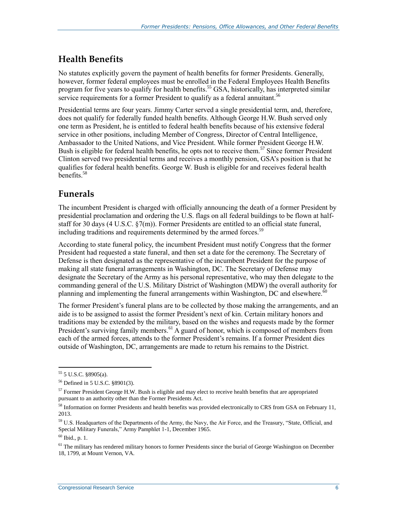### **Health Benefits**

No statutes explicitly govern the payment of health benefits for former Presidents. Generally, however, former federal employees must be enrolled in the Federal Employees Health Benefits program for five years to qualify for health benefits.<sup>55</sup> GSA, historically, has interpreted similar service requirements for a former President to qualify as a federal annuitant.<sup>56</sup>

Presidential terms are four years. Jimmy Carter served a single presidential term, and, therefore, does not qualify for federally funded health benefits. Although George H.W. Bush served only one term as President, he is entitled to federal health benefits because of his extensive federal service in other positions, including Member of Congress, Director of Central Intelligence, Ambassador to the United Nations, and Vice President. While former President George H.W. Bush is eligible for federal health benefits, he opts not to receive them.<sup>57</sup> Since former President Clinton served two presidential terms and receives a monthly pension, GSA's position is that he qualifies for federal health benefits. George W. Bush is eligible for and receives federal health benefits<sup>58</sup>

### **Funerals**

The incumbent President is charged with officially announcing the death of a former President by presidential proclamation and ordering the U.S. flags on all federal buildings to be flown at halfstaff for 30 days (4 U.S.C. §7(m)). Former Presidents are entitled to an official state funeral, including traditions and requirements determined by the armed forces.<sup>59</sup>

According to state funeral policy, the incumbent President must notify Congress that the former President had requested a state funeral, and then set a date for the ceremony. The Secretary of Defense is then designated as the representative of the incumbent President for the purpose of making all state funeral arrangements in Washington, DC. The Secretary of Defense may designate the Secretary of the Army as his personal representative, who may then delegate to the commanding general of the U.S. Military District of Washington (MDW) the overall authority for planning and implementing the funeral arrangements within Washington, DC and elsewhere. $60$ 

The former President's funeral plans are to be collected by those making the arrangements, and an aide is to be assigned to assist the former President's next of kin. Certain military honors and traditions may be extended by the military, based on the wishes and requests made by the former President's surviving family members.<sup>61</sup> A guard of honor, which is composed of members from each of the armed forces, attends to the former President's remains. If a former President dies outside of Washington, DC, arrangements are made to return his remains to the District.

 $\overline{a}$ <sup>55</sup> 5 U.S.C. §8905(a).

<sup>56</sup> Defined in 5 U.S.C. §8901(3).

 $57$  Former President George H.W. Bush is eligible and may elect to receive health benefits that are appropriated pursuant to an authority other than the Former Presidents Act.

<sup>&</sup>lt;sup>58</sup> Information on former Presidents and health benefits was provided electronically to CRS from GSA on February 11, 2013.

<sup>&</sup>lt;sup>59</sup> U.S. Headquarters of the Departments of the Army, the Navy, the Air Force, and the Treasury, "State, Official, and Special Military Funerals," Army Pamphlet 1-1, December 1965.

<sup>60</sup> Ibid., p. 1.

<sup>&</sup>lt;sup>61</sup> The military has rendered military honors to former Presidents since the burial of George Washington on December 18, 1799, at Mount Vernon, VA.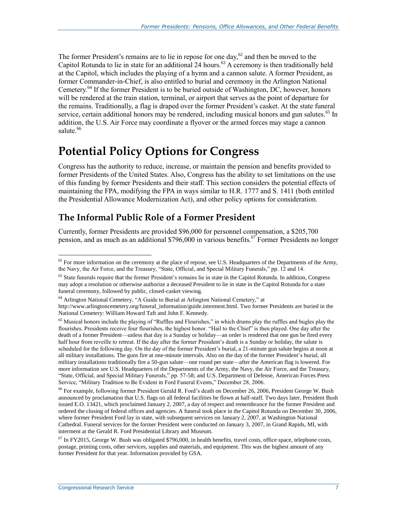The former President's remains are to lie in repose for one day, $62$  and then be moved to the Capitol Rotunda to lie in state for an additional 24 hours.<sup>63</sup> A ceremony is then traditionally held at the Capitol, which includes the playing of a hymn and a cannon salute. A former President, as former Commander-in-Chief, is also entitled to burial and ceremony in the Arlington National Cemetery.<sup>64</sup> If the former President is to be buried outside of Washington, DC, however, honors will be rendered at the train station, terminal, or airport that serves as the point of departure for the remains. Traditionally, a flag is draped over the former President's casket. At the state funeral service, certain additional honors may be rendered, including musical honors and gun salutes.<sup>65</sup> In addition, the U.S. Air Force may coordinate a flyover or the armed forces may stage a cannon salute.<sup>66</sup>

## **Potential Policy Options for Congress**

Congress has the authority to reduce, increase, or maintain the pension and benefits provided to former Presidents of the United States. Also, Congress has the ability to set limitations on the use of this funding by former Presidents and their staff. This section considers the potential effects of maintaining the FPA, modifying the FPA in ways similar to H.R. 1777 and S. 1411 (both entitled the Presidential Allowance Modernization Act), and other policy options for consideration.

### **The Informal Public Role of a Former President**

Currently, former Presidents are provided \$96,000 for personnel compensation, a \$205,700 pension, and as much as an additional \$796,000 in various benefits.<sup>67</sup> Former Presidents no longer

<sup>66</sup> For example, following former President Gerald R. Ford's death on December 26, 2006, President George W. Bush announced by proclamation that U.S. flags on all federal facilities be flown at half-staff. Two days later, President Bush issued E.O. 13421, which proclaimed January 2, 2007, a day of respect and remembrance for the former President and ordered the closing of federal offices and agencies. A funeral took place in the Capitol Rotunda on December 30, 2006, where former President Ford lay in state, with subsequent services on January 2, 2007, at Washington National Cathedral. Funeral services for the former President were conducted on January 3, 2007, in Grand Rapids, MI, with interment at the Gerald R. Ford Presidential Library and Museum.

 $62$  For more information on the ceremony at the place of repose, see U.S. Headquarters of the Departments of the Army, the Navy, the Air Force, and the Treasury, "State, Official, and Special Military Funerals," pp. 12 and 14.

 $63$  State funerals require that the former President's remains lie in state in the Capitol Rotunda. In addition, Congress may adopt a resolution or otherwise authorize a deceased President to lie in state in the Capitol Rotunda for a state funeral ceremony, followed by public, closed-casket viewing.

<sup>64</sup> Arlington National Cemetery, "A Guide to Burial at Arlington National Cemetery," at

http://www.arlingtoncemetery.org/funeral\_information/guide.interment.html. Two former Presidents are buried in the National Cemetery: William Howard Taft and John F. Kennedy.

<sup>&</sup>lt;sup>65</sup> Musical honors include the playing of "Ruffles and Flourishes," in which drums play the ruffles and bugles play the flourishes. Presidents receive four flourishes, the highest honor. "Hail to the Chief" is then played. One day after the death of a former President—unless that day is a Sunday or holiday—an order is rendered that one gun be fired every half hour from reveille to retreat. If the day after the former President's death is a Sunday or holiday, the salute is scheduled for the following day. On the day of the former President's burial, a 21-minute gun salute begins at noon at all military installations. The guns fire at one-minute intervals. Also on the day of the former President's burial, all military installations traditionally fire a 50-gun salute—one round per state—after the American flag is lowered. For more information see U.S. Headquarters of the Departments of the Army, the Navy, the Air Force, and the Treasury, "State, Official, and Special Military Funerals," pp. 57-58; and U.S. Department of Defense, American Forces Press Service, "Military Tradition to Be Evident in Ford Funeral Events," December 28, 2006.

 $67$  In FY2015, George W. Bush was obligated \$796,000, in health benefits, travel costs, office space, telephone costs, postage, printing costs, other services, supplies and materials, and equipment. This was the highest amount of any former President for that year. Information provided by GSA.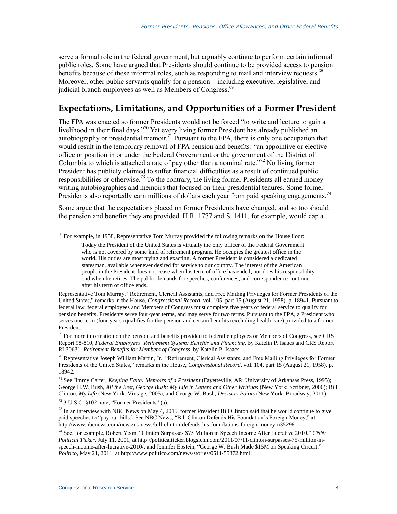serve a formal role in the federal government, but arguably continue to perform certain informal public roles. Some have argued that Presidents should continue to be provided access to pension benefits because of these informal roles, such as responding to mail and interview requests.<sup>68</sup> Moreover, other public servants qualify for a pension—including executive, legislative, and judicial branch employees as well as Members of Congress.<sup>69</sup>

### **Expectations, Limitations, and Opportunities of a Former President**

The FPA was enacted so former Presidents would not be forced "to write and lecture to gain a livelihood in their final days."<sup>70</sup> Yet every living former President has already published an autobiography or presidential memoir.<sup>71</sup> Pursuant to the FPA, there is only one occupation that would result in the temporary removal of FPA pension and benefits: "an appointive or elective office or position in or under the Federal Government or the government of the District of Columbia to which is attached a rate of pay other than a nominal rate.<sup> $272$ </sup> No living former President has publicly claimed to suffer financial difficulties as a result of continued public responsibilities or otherwise.<sup>73</sup> To the contrary, the living former Presidents all earned money writing autobiographies and memoirs that focused on their presidential tenures. Some former Presidents also reportedly earn millions of dollars each year from paid speaking engagements.<sup>74</sup>

Some argue that the expectations placed on former Presidents have changed, and so too should the pension and benefits they are provided. H.R. 1777 and S. 1411, for example, would cap a

 $72$  3 U.S.C.  $$102$  note, "Former Presidents" (a).

 $\overline{a}$ <sup>68</sup> For example, in 1958, Representative Tom Murray provided the following remarks on the House floor:

Today the President of the United States is virtually the only officer of the Federal Government who is not covered by some kind of retirement program. He occupies the greatest office in the world. His duties are most trying and exacting. A former President is considered a dedicated statesman, available whenever desired for service to our country. The interest of the American people in the President does not cease when his term of office has ended, nor does his responsibility end when he retires. The public demands for speeches, conferences, and correspondence continue after his term of office ends.

Representative Tom Murray, "Retirement, Clerical Assistants, and Free Mailing Privileges for Former Presidents of the United States," remarks in the House, *Congressional Record*, vol. 105, part 15 (August 21, 1958), p. 18941. Pursuant to federal law, federal employees and Members of Congress must complete five years of federal service to qualify for pension benefits. Presidents serve four-year terms, and may serve for two terms. Pursuant to the FPA, a President who serves one term (four years) qualifies for the pension and certain benefits (excluding health care) provided to a former President.

<sup>&</sup>lt;sup>69</sup> For more information on the pension and benefits provided to federal employees or Members of Congress, see CRS Report 98-810, *Federal Employees' Retirement System: Benefits and Financing*, by Katelin P. Isaacs and CRS Report RL30631, *Retirement Benefits for Members of Congress*, by Katelin P. Isaacs.

 $^{70}$  Representative Joseph William Martin, Jr., "Retirement, Clerical Assistants, and Free Mailing Privileges for Former Presidents of the United States," remarks in the House, *Congressional Record*, vol. 104, part 15 (August 21, 1958), p. 18942.

<sup>71</sup> See Jimmy Carter, *Keeping Faith: Memoirs of a President* (Fayetteville, AR: University of Arkansas Press, 1995); George H.W. Bush, *All the Best, George Bush: My Life in Letters and Other Writings* (New York: Scribner, 2000); Bill Clinton, *My Life* (New York: Vintage, 2005); and George W. Bush, *Decision Points* (New York: Broadway, 2011).

 $^{73}$  In an interview with NBC News on May 4, 2015, former President Bill Clinton said that he would continue to give paid speeches to "pay our bills." See NBC News, "Bill Clinton Defends His Foundation's Foreign Money," at http://www.nbcnews.com/news/us-news/bill-clinton-defends-his-foundations-foreign-money-n352981.

<sup>74</sup> See, for example, Robert Yoon, "Clinton Surpasses \$75 Million in Speech Income After Lucrative 2010," *CNN: Political Ticker*, July 11, 2001, at http://politicalticker.blogs.cnn.com/2011/07/11/clinton-surpasses-75-million-inspeech-income-after-lucrative-2010/; and Jennifer Epstein, "George W. Bush Made \$15M on Speaking Circuit," *Politico*, May 21, 2011, at http://www.politico.com/news/stories/0511/55372.html.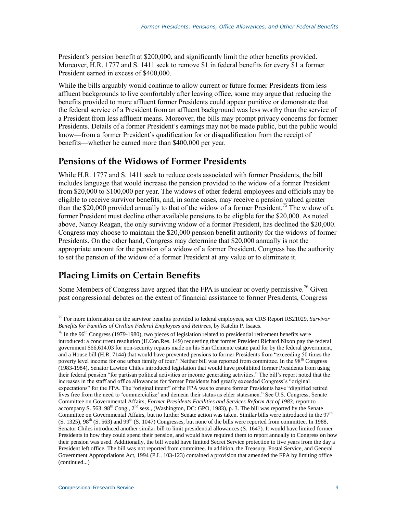President's pension benefit at \$200,000, and significantly limit the other benefits provided. Moreover, H.R. 1777 and S. 1411 seek to remove \$1 in federal benefits for every \$1 a former President earned in excess of \$400,000.

While the bills arguably would continue to allow current or future former Presidents from less affluent backgrounds to live comfortably after leaving office, some may argue that reducing the benefits provided to more affluent former Presidents could appear punitive or demonstrate that the federal service of a President from an affluent background was less worthy than the service of a President from less affluent means. Moreover, the bills may prompt privacy concerns for former Presidents. Details of a former President's earnings may not be made public, but the public would know—from a former President's qualification for or disqualification from the receipt of benefits—whether he earned more than \$400,000 per year.

#### **Pensions of the Widows of Former Presidents**

While H.R. 1777 and S. 1411 seek to reduce costs associated with former Presidents, the bill includes language that would increase the pension provided to the widow of a former President from \$20,000 to \$100,000 per year. The widows of other federal employees and officials may be eligible to receive survivor benefits, and, in some cases, may receive a pension valued greater than the \$20,000 provided annually to that of the widow of a former President.<sup>75</sup> The widow of a former President must decline other available pensions to be eligible for the \$20,000. As noted above, Nancy Reagan, the only surviving widow of a former President, has declined the \$20,000. Congress may choose to maintain the \$20,000 pension benefit authority for the widows of former Presidents. On the other hand, Congress may determine that \$20,000 annually is not the appropriate amount for the pension of a widow of a former President. Congress has the authority to set the pension of the widow of a former President at any value or to eliminate it.

### **Placing Limits on Certain Benefits**

Some Members of Congress have argued that the FPA is unclear or overly permissive.<sup>76</sup> Given past congressional debates on the extent of financial assistance to former Presidents, Congress

 $\overline{a}$ <sup>75</sup> For more information on the survivor benefits provided to federal employees, see CRS Report RS21029, *Survivor Benefits for Families of Civilian Federal Employees and Retirees*, by Katelin P. Isaacs.

 $^{76}$  In the 96<sup>th</sup> Congress (1979-1980), two pieces of legislation related to presidential retirement benefits were introduced: a concurrent resolution (H.Con.Res. 149) requesting that former President Richard Nixon pay the federal government \$66,614.03 for non-security repairs made on his San Clemente estate paid for by the federal government, and a House bill (H.R. 7144) that would have prevented pensions to former Presidents from "exceeding 50 times the poverty level income for one urban family of four." Neither bill was reported from committee. In the 98<sup>th</sup> Congress (1983-1984), Senator Lawton Chiles introduced legislation that would have prohibited former Presidents from using their federal pension "for partisan political activities or income generating activities." The bill's report noted that the increases in the staff and office allowances for former Presidents had greatly exceeded Congress's "original expectations" for the FPA. The "original intent" of the FPA was to ensure former Presidents have "dignified retired lives free from the need to 'commercialize' and demean their status as elder statesmen." See U.S. Congress, Senate Committee on Governmental Affairs, *Former Presidents Facilities and Services Reform Act of 1983*, report to accompany S. 563,  $98^{th}$  Cong.,  $2^{nd}$  sess., (Washington, DC: GPO, 1983), p. 3. The bill was reported by the Senate Committee on Governmental Affairs, but no further Senate action was taken. Similar bills were introduced in the 97<sup>th</sup>  $(S. 1325)$ ,  $98<sup>th</sup>$  (S. 563) and  $99<sup>th</sup>$  (S. 1047) Congresses, but none of the bills were reported from committee. In 1988, Senator Chiles introduced another similar bill to limit presidential allowances (S. 1647). It would have limited former Presidents in how they could spend their pension, and would have required them to report annually to Congress on how their pension was used. Additionally, the bill would have limited Secret Service protection to five years from the day a President left office. The bill was not reported from committee. In addition, the Treasury, Postal Service, and General Government Appropriations Act, 1994 (P.L. 103-123) contained a provision that amended the FPA by limiting office (continued...)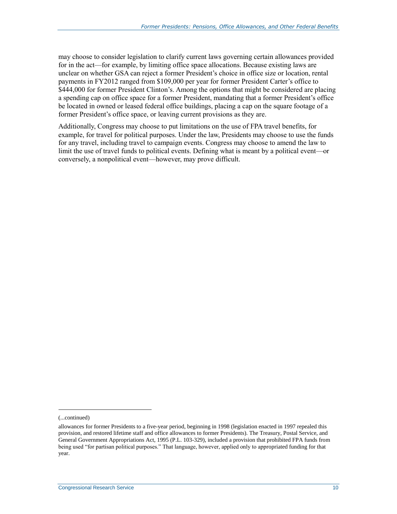may choose to consider legislation to clarify current laws governing certain allowances provided for in the act—for example, by limiting office space allocations. Because existing laws are unclear on whether GSA can reject a former President's choice in office size or location, rental payments in FY2012 ranged from \$109,000 per year for former President Carter's office to \$444,000 for former President Clinton's. Among the options that might be considered are placing a spending cap on office space for a former President, mandating that a former President's office be located in owned or leased federal office buildings, placing a cap on the square footage of a former President's office space, or leaving current provisions as they are.

Additionally, Congress may choose to put limitations on the use of FPA travel benefits, for example, for travel for political purposes. Under the law, Presidents may choose to use the funds for any travel, including travel to campaign events. Congress may choose to amend the law to limit the use of travel funds to political events. Defining what is meant by a political event—or conversely, a nonpolitical event—however, may prove difficult.

l

<sup>(...</sup>continued)

allowances for former Presidents to a five-year period, beginning in 1998 (legislation enacted in 1997 repealed this provision, and restored lifetime staff and office allowances to former Presidents). The Treasury, Postal Service, and General Government Appropriations Act, 1995 (P.L. 103-329), included a provision that prohibited FPA funds from being used "for partisan political purposes." That language, however, applied only to appropriated funding for that year.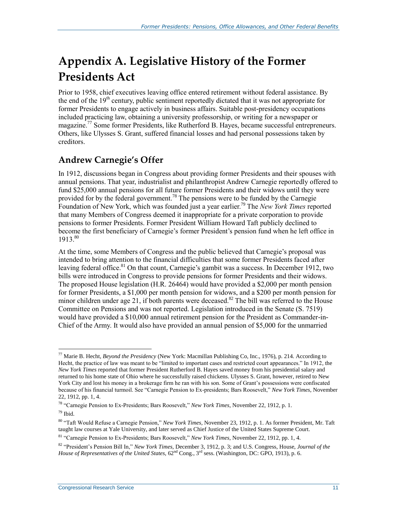## **Appendix A. Legislative History of the Former Presidents Act**

Prior to 1958, chief executives leaving office entered retirement without federal assistance. By the end of the  $19<sup>th</sup>$  century, public sentiment reportedly dictated that it was not appropriate for former Presidents to engage actively in business affairs. Suitable post-presidency occupations included practicing law, obtaining a university professorship, or writing for a newspaper or magazine.<sup>77</sup> Some former Presidents, like Rutherford B. Hayes, became successful entrepreneurs. Others, like Ulysses S. Grant, suffered financial losses and had personal possessions taken by creditors.

## **Andrew Carnegie's Offer**

In 1912, discussions began in Congress about providing former Presidents and their spouses with annual pensions. That year, industrialist and philanthropist Andrew Carnegie reportedly offered to fund \$25,000 annual pensions for all future former Presidents and their widows until they were provided for by the federal government.<sup>78</sup> The pensions were to be funded by the Carnegie Foundation of New York, which was founded just a year earlier.<sup>79</sup> The *New York Times* reported that many Members of Congress deemed it inappropriate for a private corporation to provide pensions to former Presidents. Former President William Howard Taft publicly declined to become the first beneficiary of Carnegie's former President's pension fund when he left office in 1913.80

At the time, some Members of Congress and the public believed that Carnegie's proposal was intended to bring attention to the financial difficulties that some former Presidents faced after leaving federal office.<sup>81</sup> On that count, Carnegie's gambit was a success. In December 1912, two bills were introduced in Congress to provide pensions for former Presidents and their widows. The proposed House legislation (H.R. 26464) would have provided a \$2,000 per month pension for former Presidents, a \$1,000 per month pension for widows, and a \$200 per month pension for minor children under age 21, if both parents were deceased.<sup>82</sup> The bill was referred to the House Committee on Pensions and was not reported. Legislation introduced in the Senate (S. 7519) would have provided a \$10,000 annual retirement pension for the President as Commander-in-Chief of the Army. It would also have provided an annual pension of \$5,000 for the unmarried

 $79$  Ibid.

<sup>77</sup> Marie B. Hecht, *Beyond the Presidency* (New York: Macmillan Publishing Co, Inc., 1976), p. 214. According to Hecht, the practice of law was meant to be "limited to important cases and restricted court appearances." In 1912, the *New York Times* reported that former President Rutherford B. Hayes saved money from his presidential salary and returned to his home state of Ohio where he successfully raised chickens. Ulysses S. Grant, however, retired to New York City and lost his money in a brokerage firm he ran with his son. Some of Grant's possessions were confiscated because of his financial turmoil. See "Carnegie Pension to Ex-presidents; Bars Roosevelt," *New York Times*, November 22, 1912, pp. 1, 4.

<sup>78</sup> "Carnegie Pension to Ex-Presidents; Bars Roosevelt," *New York Times*, November 22, 1912, p. 1.

<sup>80</sup> "Taft Would Refuse a Carnegie Pension," *New York Times,* November 23, 1912, p. 1. As former President, Mr. Taft taught law courses at Yale University, and later served as Chief Justice of the United States Supreme Court.

<sup>81</sup> "Carnegie Pension to Ex-Presidents; Bars Roosevelt," *New York Times*, November 22, 1912, pp. 1, 4.

<sup>82</sup> "President's Pension Bill In," *New York Times,* December 3, 1912, p. 3; and U.S. Congress, House, *Journal of the House of Representatives of the United States,* 62<sup>nd</sup> Cong., 3<sup>rd</sup> sess. (Washington, DC: GPO, 1913), p. 6.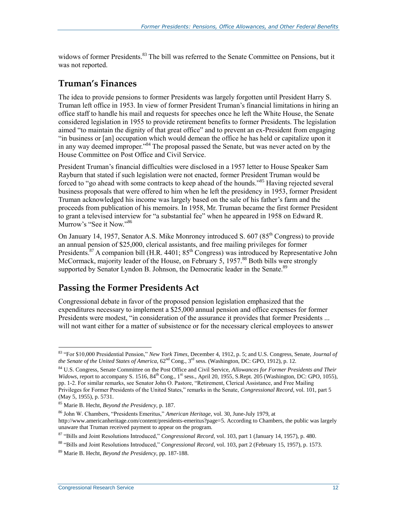widows of former Presidents.<sup>83</sup> The bill was referred to the Senate Committee on Pensions, but it was not reported.

#### **Truman's Finances**

The idea to provide pensions to former Presidents was largely forgotten until President Harry S. Truman left office in 1953. In view of former President Truman's financial limitations in hiring an office staff to handle his mail and requests for speeches once he left the White House, the Senate considered legislation in 1955 to provide retirement benefits to former Presidents. The legislation aimed "to maintain the dignity of that great office" and to prevent an ex-President from engaging "in business or [an] occupation which would demean the office he has held or capitalize upon it in any way deemed improper."<sup>84</sup> The proposal passed the Senate, but was never acted on by the House Committee on Post Office and Civil Service.

President Truman's financial difficulties were disclosed in a 1957 letter to House Speaker Sam Rayburn that stated if such legislation were not enacted, former President Truman would be forced to "go ahead with some contracts to keep ahead of the hounds."<sup>85</sup> Having rejected several business proposals that were offered to him when he left the presidency in 1953, former President Truman acknowledged his income was largely based on the sale of his father's farm and the proceeds from publication of his memoirs. In 1958, Mr. Truman became the first former President to grant a televised interview for "a substantial fee" when he appeared in 1958 on Edward R. Murrow's "See it Now."<sup>86</sup>

On January 14, 1957, Senator A.S. Mike Monroney introduced S. 607 (85<sup>th</sup> Congress) to provide an annual pension of \$25,000, clerical assistants, and free mailing privileges for former Presidents.<sup>87</sup> A companion bill (H.R. 4401; 85<sup>th</sup> Congress) was introduced by Representative John McCormack, majority leader of the House, on February 5, 1957.<sup>88</sup> Both bills were strongly supported by Senator Lyndon B. Johnson, the Democratic leader in the Senate.<sup>89</sup>

#### **Passing the Former Presidents Act**

Congressional debate in favor of the proposed pension legislation emphasized that the expenditures necessary to implement a \$25,000 annual pension and office expenses for former Presidents were modest, "in consideration of the assurance it provides that former Presidents ... will not want either for a matter of subsistence or for the necessary clerical employees to answer

<sup>87</sup> "Bills and Joint Resolutions Introduced," *Congressional Record,* vol. 103, part 1 (January 14, 1957), p. 480.

<sup>83</sup> "For \$10,000 Presidential Pension," *New York Times,* December 4, 1912, p. 5; and U.S. Congress, Senate, *Journal of the Senate of the United States of America*, 62nd Cong., 3rd sess. (Washington, DC: GPO, 1912), p. 12.

<sup>84</sup> U.S. Congress, Senate Committee on the Post Office and Civil Service, *Allowances for Former Presidents and Their Widows*, report to accompany S. 1516, 84<sup>th</sup> Cong., 1<sup>st</sup> sess., April 20, 1955, S.Rept. 205 (Washington, DC: GPO, 1055), pp. 1-2. For similar remarks, see Senator John O. Pastore, "Retirement, Clerical Assistance, and Free Mailing Privileges for Former Presidents of the United States," remarks in the Senate, *Congressional Record*, vol. 101, part 5 (May 5, 1955), p. 5731.

<sup>85</sup> Marie B. Hecht, *Beyond the Presidency,* p. 187.

<sup>86</sup> John W. Chambers, "Presidents Emeritus," *American Heritage,* vol. 30, June-July 1979, at http://www.americanheritage.com/content/presidents-emeritus?page=5. According to Chambers, the public was largely unaware that Truman received payment to appear on the program.

<sup>88</sup> "Bills and Joint Resolutions Introduced," *Congressional Record*, vol. 103, part 2 (February 15, 1957), p. 1573.

<sup>89</sup> Marie B. Hecht, *Beyond the Presidency,* pp. 187-188.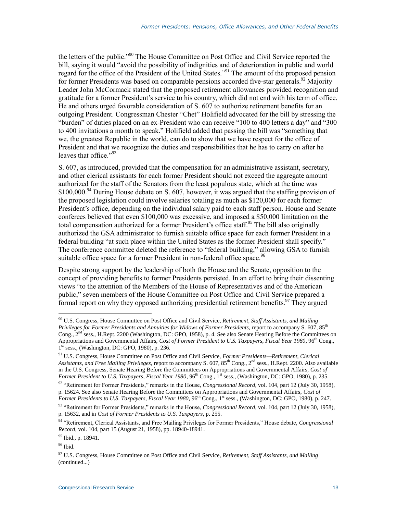the letters of the public."<sup>90</sup> The House Committee on Post Office and Civil Service reported the bill, saying it would "avoid the possibility of indignities and of deterioration in public and world regard for the office of the President of the United States."<sup>91</sup> The amount of the proposed pension for former Presidents was based on comparable pensions accorded five-star generals.<sup>92</sup> Majority Leader John McCormack stated that the proposed retirement allowances provided recognition and gratitude for a former President's service to his country, which did not end with his term of office. He and others urged favorable consideration of S. 607 to authorize retirement benefits for an outgoing President. Congressman Chester "Chet" Holifield advocated for the bill by stressing the "burden" of duties placed on an ex-President who can receive "100 to 400 letters a day" and "300 to 400 invitations a month to speak." Holifield added that passing the bill was "something that we, the greatest Republic in the world, can do to show that we have respect for the office of President and that we recognize the duties and responsibilities that he has to carry on after he leaves that office."<sup>93</sup>

S. 607, as introduced, provided that the compensation for an administrative assistant, secretary, and other clerical assistants for each former President should not exceed the aggregate amount authorized for the staff of the Senators from the least populous state, which at the time was \$100,000.<sup>94</sup> During House debate on S. 607, however, it was argued that the staffing provision of the proposed legislation could involve salaries totaling as much as \$120,000 for each former President's office, depending on the individual salary paid to each staff person. House and Senate conferees believed that even \$100,000 was excessive, and imposed a \$50,000 limitation on the total compensation authorized for a former President's office staff.<sup>95</sup> The bill also originally authorized the GSA administrator to furnish suitable office space for each former President in a federal building "at such place within the United States as the former President shall specify." The conference committee deleted the reference to "federal building," allowing GSA to furnish suitable office space for a former President in non-federal office space.<sup>96</sup>

Despite strong support by the leadership of both the House and the Senate, opposition to the concept of providing benefits to former Presidents persisted. In an effort to bring their dissenting views "to the attention of the Members of the House of Representatives and of the American public," seven members of the House Committee on Post Office and Civil Service prepared a formal report on why they opposed authorizing presidential retirement benefits.<sup>97</sup> They argued

<sup>90</sup> U.S. Congress, House Committee on Post Office and Civil Service, *Retirement, Staff Assistants, and Mailing Privileges for Former Presidents and Annuities for Widows of Former Presidents, report to accompany S. 607, 85<sup>th</sup>* Cong., 2<sup>nd</sup> sess., H.Rept. 2200 (Washington, DC: GPO, 1958), p. 4. See also Senate Hearing Before the Committees on Appropriations and Governmental Affairs, *Cost of Former President to U.S. Taxpayers, Fiscal Year 1980*, 96th Cong., 1<sup>st</sup> sess., (Washington, DC: GPO, 1980), p. 236.

<sup>91</sup> U.S. Congress, House Committee on Post Office and Civil Service, *Former Presidents—Retirement, Clerical Assistants, and Free Mailing Privileges*, report to accompany S. 607, 85th Cong., 2nd sess., H.Rept. 2200. Also available in the U.S. Congress, Senate Hearing Before the Committees on Appropriations and Governmental Affairs, *Cost of Former President to U.S. Taxpayers, Fiscal Year 1980, 96*<sup>th</sup> Cong., 1<sup>st</sup> sess., (Washington, DC: GPO, 1980), p. 235.

<sup>&</sup>lt;sup>92</sup> "Retirement for Former Presidents," remarks in the House, *Congressional Record*, vol. 104, part 12 (July 30, 1958), p. 15624. See also Senate Hearing Before the Committees on Appropriations and Governmental Affairs, *Cost of Former Presidents to U.S. Taxpayers, Fiscal Year 1980, 96<sup>th</sup> Cong., 1<sup>st</sup> sess., (Washington, DC: GPO, 1980), p. 247.* 

<sup>&</sup>lt;sup>93</sup> "Retirement for Former Presidents," remarks in the House, *Congressional Record*, vol. 104, part 12 (July 30, 1958), p. 15632, and in *Cost of Former Presidents to U.S. Taxpayers*, p. 255.

<sup>94</sup> "Retirement, Clerical Assistants, and Free Mailing Privileges for Former Presidents," House debate, *Congressional Record*, vol. 104, part 15 (August 21, 1958), pp. 18940-18941.

<sup>95</sup> Ibid., p. 18941.

<sup>96</sup> Ibid.

<sup>97</sup> U.S. Congress, House Committee on Post Office and Civil Service, *Retirement, Staff Assistants, and Mailing*  (continued...)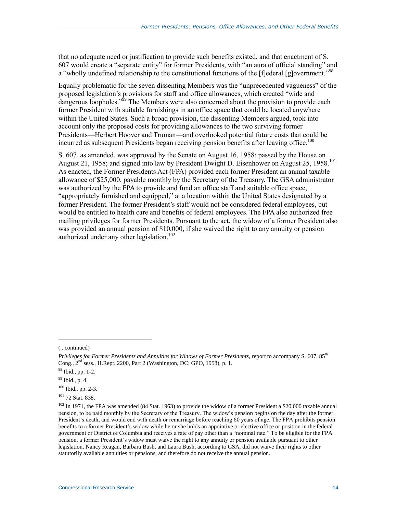that no adequate need or justification to provide such benefits existed, and that enactment of S. 607 would create a "separate entity" for former Presidents, with "an aura of official standing" and a "wholly undefined relationship to the constitutional functions of the [f]ederal [g]overnment."<sup>98</sup>

Equally problematic for the seven dissenting Members was the "unprecedented vagueness" of the proposed legislation's provisions for staff and office allowances, which created "wide and dangerous loopholes."<sup>99</sup> The Members were also concerned about the provision to provide each former President with suitable furnishings in an office space that could be located anywhere within the United States. Such a broad provision, the dissenting Members argued, took into account only the proposed costs for providing allowances to the two surviving former Presidents—Herbert Hoover and Truman—and overlooked potential future costs that could be incurred as subsequent Presidents began receiving pension benefits after leaving office.<sup>100</sup>

S. 607, as amended, was approved by the Senate on August 16, 1958; passed by the House on August 21, 1958; and signed into law by President Dwight D. Eisenhower on August 25, 1958.<sup>101</sup> As enacted, the Former Presidents Act (FPA) provided each former President an annual taxable allowance of \$25,000, payable monthly by the Secretary of the Treasury. The GSA administrator was authorized by the FPA to provide and fund an office staff and suitable office space, "appropriately furnished and equipped," at a location within the United States designated by a former President. The former President's staff would not be considered federal employees, but would be entitled to health care and benefits of federal employees. The FPA also authorized free mailing privileges for former Presidents. Pursuant to the act, the widow of a former President also was provided an annual pension of \$10,000, if she waived the right to any annuity or pension authorized under any other legislation.<sup>102</sup>

 $\overline{a}$ 

<sup>98</sup> Ibid., pp. 1-2.

<sup>(...</sup>continued)

*Privileges for Former Presidents and Annuities for Widows of Former Presidents, report to accompany S. 607, 85<sup>th</sup>* Cong.,  $2<sup>nd</sup>$  sess., H.Rept. 2200, Part 2 (Washington, DC: GPO, 1958), p. 1.

<sup>99</sup> Ibid., p. 4.

<sup>100</sup> Ibid., pp. 2-3.

<sup>101</sup> 72 Stat. 838.

 $102$  In 1971, the FPA was amended (84 Stat. 1963) to provide the widow of a former President a \$20,000 taxable annual pension, to be paid monthly by the Secretary of the Treasury. The widow's pension begins on the day after the former President's death, and would end with death or remarriage before reaching 60 years of age. The FPA prohibits pension benefits to a former President's widow while he or she holds an appointive or elective office or position in the federal government or District of Columbia and receives a rate of pay other than a "nominal rate." To be eligible for the FPA pension, a former President's widow must waive the right to any annuity or pension available pursuant to other legislation. Nancy Reagan, Barbara Bush, and Laura Bush, according to GSA, did not waive their rights to other statutorily available annuities or pensions, and therefore do not receive the annual pension.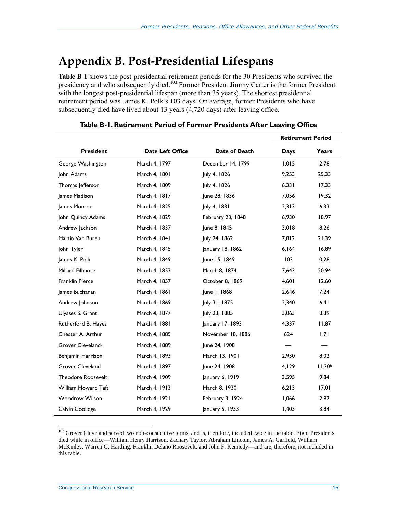## **Appendix B. Post-Presidential Lifespans**

**[Table B-1](#page-25-0)** shows the post-presidential retirement periods for the 30 Presidents who survived the presidency and who subsequently died.<sup>103</sup> Former President Jimmy Carter is the former President with the longest post-presidential lifespan (more than 35 years). The shortest presidential retirement period was James K. Polk's 103 days. On average, former Presidents who have subsequently died have lived about 13 years (4,720 days) after leaving office.

<span id="page-25-0"></span>

|                               |                  |                   |       | <b>Retirement Period</b> |
|-------------------------------|------------------|-------------------|-------|--------------------------|
| <b>President</b>              | Date Left Office | Date of Death     | Days  | Years                    |
| George Washington             | March 4, 1797    | December 14, 1799 | 1,015 | 2.78                     |
| John Adams                    | March 4, 1801    | July 4, 1826      | 9,253 | 25.33                    |
| Thomas Jefferson              | March 4, 1809    | July 4, 1826      | 6,331 | 17.33                    |
| James Madison                 | March 4, 1817    | June 28, 1836     | 7,056 | 19.32                    |
| James Monroe                  | March 4, 1825    | July 4, 1831      | 2,313 | 6.33                     |
| John Quincy Adams             | March 4, 1829    | February 23, 1848 | 6,930 | 18.97                    |
| Andrew Jackson                | March 4, 1837    | June 8, 1845      | 3,018 | 8.26                     |
| Martin Van Buren              | March 4, 1841    | July 24, 1862     | 7,812 | 21.39                    |
| John Tyler                    | March 4, 1845    | January 18, 1862  | 6,164 | 16.89                    |
| James K. Polk                 | March 4, 1849    | June 15, 1849     | 103   | 0.28                     |
| <b>Millard Fillmore</b>       | March 4, 1853    | March 8, 1874     | 7,643 | 20.94                    |
| Franklin Pierce               | March 4, 1857    | October 8, 1869   | 4,601 | 12.60                    |
| James Buchanan                | March 4, 1861    | June 1, 1868      | 2,646 | 7.24                     |
| Andrew Johnson                | March 4, 1869    | July 31, 1875     | 2,340 | 6.41                     |
| Ulysses S. Grant              | March 4, 1877    | July 23, 1885     | 3,063 | 8.39                     |
| Rutherford B. Hayes           | March 4, 1881    | January 17, 1893  | 4,337 | 11.87                    |
| Chester A. Arthur             | March 4, 1885    | November 18, 1886 | 624   | 1.71                     |
| Grover Cleveland <sup>a</sup> | March 4, 1889    | June 24, 1908     |       |                          |
| Benjamin Harrison             | March 4, 1893    | March 13, 1901    | 2,930 | 8.02                     |
| Grover Cleveland              | March 4, 1897    | June 24, 1908     | 4,129 | 11.30 <sup>b</sup>       |
| <b>Theodore Roosevelt</b>     | March 4, 1909    | January 6, 1919   | 3,595 | 9.84                     |
| William Howard Taft           | March 4, 1913    | March 8, 1930     | 6,213 | 17.01                    |
| <b>Woodrow Wilson</b>         | March 4, 1921    | February 3, 1924  | 1,066 | 2.92                     |
| Calvin Coolidge               | March 4, 1929    | January 5, 1933   | 1,403 | 3.84                     |

#### **Table B-1. Retirement Period of Former Presidents After Leaving Office**

<sup>&</sup>lt;sup>103</sup> Grover Cleveland served two non-consecutive terms, and is, therefore, included twice in the table. Eight Presidents died while in office—William Henry Harrison, Zachary Taylor, Abraham Lincoln, James A. Garfield, William McKinley, Warren G. Harding, Franklin Delano Roosevelt, and John F. Kennedy—and are, therefore, not included in this table.